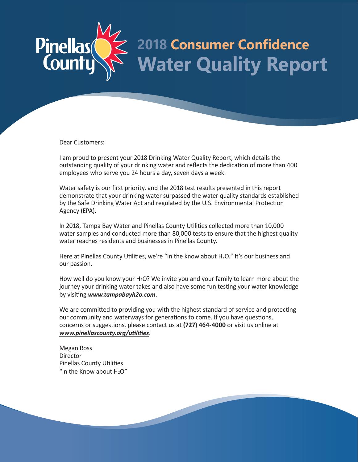# **2018 Consumer Confidence** Pinellas **Water Quality Report**

Dear Customers:

I am proud to present your 2018 Drinking Water Quality Report, which details the outstanding quality of your drinking water and reflects the dedication of more than 400 employees who serve you 24 hours a day, seven days a week.

Water safety is our first priority, and the 2018 test results presented in this report demonstrate that your drinking water surpassed the water quality standards established by the Safe Drinking Water Act and regulated by the U.S. Environmental Protection Agency (EPA).

In 2018, Tampa Bay Water and Pinellas County Utilities collected more than 10,000 water samples and conducted more than 80,000 tests to ensure that the highest quality water reaches residents and businesses in Pinellas County.

Here at Pinellas County Utilities, we're "In the know about H<sub>2</sub>O." It's our business and our passion.

How well do you know your H<sub>2</sub>O? We invite you and your family to learn more about the journey your drinking water takes and also have some fun testing your water knowledge by visiting *www.tampabayh2o.com*.

We are committed to providing you with the highest standard of service and protecting our community and waterways for generations to come. If you have questions, concerns or suggestions, please contact us at **(727) 464-4000** or visit us online at *www.pinellascounty.org/utilities*.

Megan Ross **Director** Pinellas County Utilities "In the Know about  $H<sub>2</sub>O''$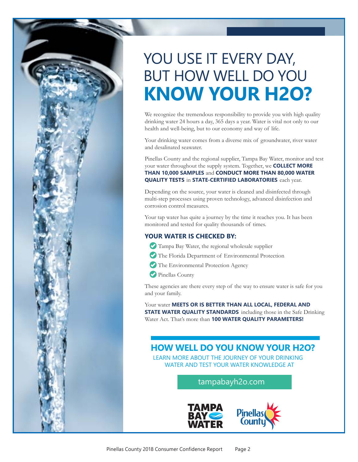# **KNOW YOUR H2O?** YOU USE IT EVERY DAY, BUT HOW WELL DO YOU

We recognize the tremendous responsibility to provide you with high quality drinking water 24 hours a day, 365 days a year. Water is vital not only to our health and well-being, but to our economy and way of life.

Your drinking water comes from a diverse mix of groundwater, river water and desalinated seawater.

Pinellas County and the regional supplier, Tampa Bay Water, monitor and test your water throughout the supply system. Together, we **COLLECT MORE THAN 10,000 SAMPLES** and **CONDUCT MORE THAN 80,000 WATER QUALITY TESTS** in **STATE-CERTIFIED LABORATORIES** each year.

Depending on the source, your water is cleaned and disinfected through multi-step processes using proven technology, advanced disinfection and corrosion control measures.

Your tap water has quite a journey by the time it reaches you. It has been monitored and tested for quality thousands of times.

#### **YOUR WATER IS CHECKED BY:**

- Tampa Bay Water, the regional wholesale supplier
- The Florida Department of Environmental Protection
- The Environmental Protection Agency
- Pinellas County

These agencies are there every step of the way to ensure water is safe for you and your family.

Your water **MEETS OR IS BETTER THAN ALL LOCAL, FEDERAL AND STATE WATER QUALITY STANDARDS** including those in the Safe Drinking Water Act. That's more than **100 WATER QUALITY PARAMETERS!**

### **HOW WELL DO YOU KNOW YOUR H2O?**

LEARN MORE ABOUT THE JOURNEY OF YOUR DRINKING WATER AND TEST YOUR WATER KNOWLEDGE AT

tampabayh2o.com

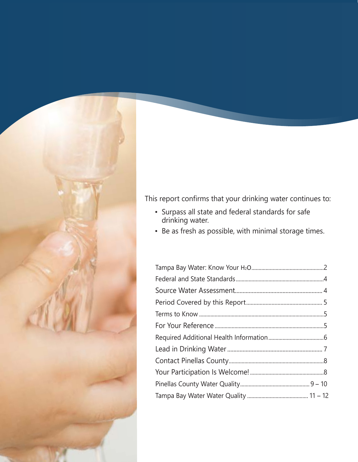

This report confirms that your drinking water continues to:

- Surpass all state and federal standards for safe drinking water.
- Be as fresh as possible, with minimal storage times.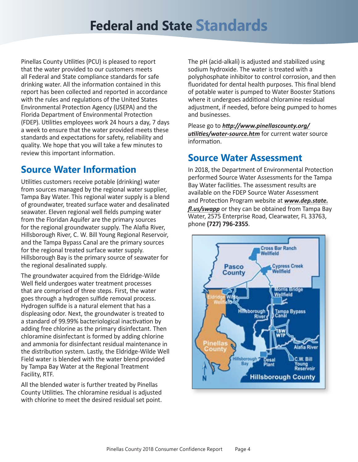# **Federal and State Standards**

Pinellas County Utilities (PCU) is pleased to report that the water provided to our customers meets all Federal and State compliance standards for safe drinking water. All the information contained in this report has been collected and reported in accordance with the rules and regulations of the United States Environmental Protection Agency (USEPA) and the Florida Department of Environmental Protection (FDEP). Utilities employees work 24 hours a day, 7 days a week to ensure that the water provided meets these standards and expectations for safety, reliability and quality. We hope that you will take a few minutes to review this important information.

# **Source Water Information**

Utilities customers receive potable (drinking) water from sources managed by the regional water supplier, Tampa Bay Water. This regional water supply is a blend of groundwater, treated surface water and desalinated seawater. Eleven regional well fields pumping water from the Floridan Aquifer are the primary sources for the regional groundwater supply. The Alafia River, Hillsborough River, C. W. Bill Young Regional Reservoir, and the Tampa Bypass Canal are the primary sources for the regional treated surface water supply. Hillsborough Bay is the primary source of seawater for the regional desalinated supply.

The groundwater acquired from the Eldridge-Wilde Well field undergoes water treatment processes that are comprised of three steps. First, the water goes through a hydrogen sulfide removal process. Hydrogen sulfide is a natural element that has a displeasing odor. Next, the groundwater is treated to a standard of 99.99% bacteriological inactivation by adding free chlorine as the primary disinfectant. Then chloramine disinfectant is formed by adding chlorine and ammonia for disinfectant residual maintenance in the distribution system. Lastly, the Eldridge-Wilde Well Field water is blended with the water blend provided by Tampa Bay Water at the Regional Treatment Facility, RTF.

All the blended water is further treated by Pinellas County Utilities. The chloramine residual is adjusted with chlorine to meet the desired residual set point.

The pH (acid-alkali) is adjusted and stabilized using sodium hydroxide. The water is treated with a polyphosphate inhibitor to control corrosion, and then fluoridated for dental health purposes. This final blend of potable water is pumped to Water Booster Stations where it undergoes additional chloramine residual adjustment, if needed, before being pumped to homes and businesses.

Please go to *[http://www.pinellascounty.org/](http://www.pinellascounty.org/utilities/water-source.htm) [utilities/water-source.htm](http://www.pinellascounty.org/utilities/water-source.htm)* for current water source information.

## **Source Water Assessment**

In 2018, the Department of Environmental Protection performed Source Water Assessments for the Tampa Bay Water facilities. The assessment results are available on the FDEP Source Water Assessment and Protection Program website at *[www.dep.state.](www.dep.state.fl.us/swapp) [fl.us/swapp](www.dep.state.fl.us/swapp)* or they can be obtained from Tampa Bay Water, 2575 Enterprise Road, Clearwater, FL 33763, phone **(727) 796-2355**.

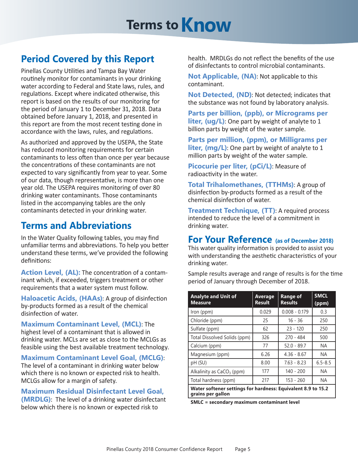# **Terms to Know**

# **Period Covered by this Report**

Pinellas County Utilities and Tampa Bay Water routinely monitor for contaminants in your drinking water according to Federal and State laws, rules, and regulations. Except where indicated otherwise, this report is based on the results of our monitoring for the period of January 1 to December 31, 2018. Data obtained before January 1, 2018, and presented in this report are from the most recent testing done in accordance with the laws, rules, and regulations.

As authorized and approved by the USEPA, the State has reduced monitoring requirements for certain contaminants to less often than once per year because the concentrations of these contaminants are not expected to vary significantly from year to year. Some of our data, though representative, is more than one year old. The USEPA requires monitoring of over 80 drinking water contaminants. Those contaminants listed in the accompanying tables are the only contaminants detected in your drinking water.

# **Terms and Abbreviations**

In the Water Quality following tables, you may find unfamiliar terms and abbreviations. To help you better understand these terms, we've provided the following definitions:

**Action Level, (AL):** The concentration of a contaminant which, if exceeded, triggers treatment or other requirements that a water system must follow.

**Haloacetic Acids, (HAAs)**: A group of disinfection by-products formed as a result of the chemical disinfection of water.

**Maximum Contaminant Level, (MCL)**: The highest level of a contaminant that is allowed in drinking water. MCLs are set as close to the MCLGs as feasible using the best available treatment technology.

**Maximum Contaminant Level Goal, (MCLG)**: The level of a contaminant in drinking water below which there is no known or expected risk to health. MCLGs allow for a margin of safety.

**Maximum Residual Disinfectant Level Goal, (MRDLG)**: The level of a drinking water disinfectant below which there is no known or expected risk to

health. MRDLGs do not reflect the benefits of the use of disinfectants to control microbial contaminants.

**Not Applicable, (NA)**: Not applicable to this contaminant.

**Not Detected, (ND)**: Not detected; indicates that the substance was not found by laboratory analysis.

**Parts per billion, (ppb), or Micrograms per liter, (ug/L)**: One part by weight of analyte to 1 billion parts by weight of the water sample.

**Parts per million, (ppm), or Milligrams per liter, (mg/L)**: One part by weight of analyte to 1 million parts by weight of the water sample.

**Picocurie per liter, (pCi/L)**: Measure of radioactivity in the water.

**Total Trihalomethanes, (TTHMs)**: A group of disinfection by-products formed as a result of the chemical disinfection of water.

**Treatment Technique, (TT)**: A required process intended to reduce the level of a commitment in drinking water.

### **For Your Reference (as of December 2018)**

This water quality information is provided to assist you with understanding the aesthetic characteristics of your drinking water.

Sample results average and range of results is for the time period of January through December of 2018.

| <b>Analyte and Unit of</b><br><b>Measure</b>                                      | Average<br><b>Result</b> | Range of<br><b>Results</b> | <b>SMCL</b><br>(ppm) |
|-----------------------------------------------------------------------------------|--------------------------|----------------------------|----------------------|
| Iron (ppm)                                                                        | 0.029                    | $0.008 - 0.179$            | 0.3                  |
| Chloride (ppm)                                                                    | 25                       | $16 - 36$                  | 250                  |
| Sulfate (ppm)                                                                     | 62                       | $23 - 120$                 | 250                  |
| Total Dissolved Solids (ppm)                                                      | 326                      | $270 - 484$                | 500                  |
| Calcium (ppm)                                                                     | 77                       | $52.0 - 89.7$              | <b>NA</b>            |
| Magnesium (ppm)                                                                   | 6.26                     | $4.36 - 8.67$              | NA.                  |
| pH (SU)                                                                           | 8.00                     | $7.63 - 8.23$              | $6.5 - 8.5$          |
| Alkalinity as $CaCO3$ (ppm)                                                       | 177                      | $140 - 200$                | <b>NA</b>            |
| Total hardness (ppm)                                                              | 217                      | $153 - 260$                | <b>NA</b>            |
| Water softener settings for hardness: Equivalent 8.9 to 15.2<br>grains per gallon |                          |                            |                      |

**SMLC = secondary maximum contaminant level**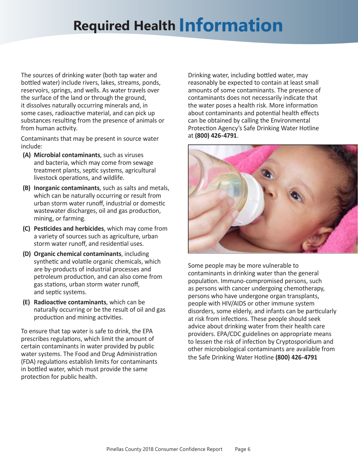# **Required Health Information**

The sources of drinking water (both tap water and bottled water) include rivers, lakes, streams, ponds, reservoirs, springs, and wells. As water travels over the surface of the land or through the ground, it dissolves naturally occurring minerals and, in some cases, radioactive material, and can pick up substances resulting from the presence of animals or from human activity.

Contaminants that may be present in source water include:

- **(A) Microbial contaminants**, such as viruses and bacteria, which may come from sewage treatment plants, septic systems, agricultural livestock operations, and wildlife.
- **(B) Inorganic contaminants**, such as salts and metals, which can be naturally occurring or result from urban storm water runoff, industrial or domestic wastewater discharges, oil and gas production, mining, or farming.
- **(C) Pesticides and herbicides**, which may come from a variety of sources such as agriculture, urban storm water runoff, and residential uses.
- **(D) Organic chemical contaminants**, including synthetic and volatile organic chemicals, which are by-products of industrial processes and petroleum production, and can also come from gas stations, urban storm water runoff, and septic systems.
- **(E) Radioactive contaminants**, which can be naturally occurring or be the result of oil and gas production and mining activities.

To ensure that tap water is safe to drink, the EPA prescribes regulations, which limit the amount of certain contaminants in water provided by public water systems. The Food and Drug Administration (FDA) regulations establish limits for contaminants in bottled water, which must provide the same protection for public health.

Drinking water, including bottled water, may reasonably be expected to contain at least small amounts of some contaminants. The presence of contaminants does not necessarily indicate that the water poses a health risk. More information about contaminants and potential health effects can be obtained by calling the Environmental Protection Agency's Safe Drinking Water Hotline at **(800) 426-4791**.



Some people may be more vulnerable to contaminants in drinking water than the general population. Immuno-compromised persons, such as persons with cancer undergoing chemotherapy, persons who have undergone organ transplants, people with HIV/AIDS or other immune system disorders, some elderly, and infants can be particularly at risk from infections. These people should seek advice about drinking water from their health care providers. EPA/CDC guidelines on appropriate means to lessen the risk of infection by Cryptosporidium and other microbiological contaminants are available from the Safe Drinking Water Hotline **(800) 426-4791**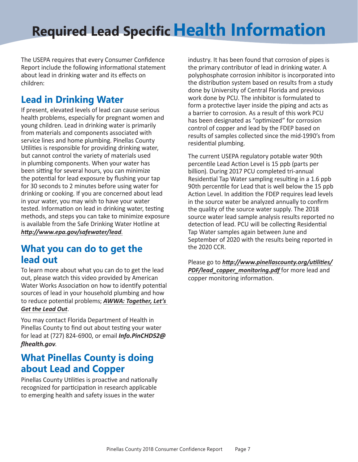# **Required Lead Specific Health Information**

The USEPA requires that every Consumer Confidence Report include the following informational statement about lead in drinking water and its effects on children:

# **Lead in Drinking Water**

If present, elevated levels of lead can cause serious health problems, especially for pregnant women and young children. Lead in drinking water is primarily from materials and components associated with service lines and home plumbing. Pinellas County Utilities is responsible for providing drinking water, but cannot control the variety of materials used in plumbing components. When your water has been sitting for several hours, you can minimize the potential for lead exposure by flushing your tap for 30 seconds to 2 minutes before using water for drinking or cooking. If you are concerned about lead in your water, you may wish to have your water tested. Information on lead in drinking water, testing methods, and steps you can take to minimize exposure is available from the Safe Drinking Water Hotline at *http://www.epa.gov/safewater/lead*.

## **What you can do to get the lead out**

To learn more about what you can do to get the lead out, please watch this video provided by American Water Works Association on how to identify potential sources of lead in your household plumbing and how to reduce potential problems; *[AWWA: Together, Let's](https://www.awwa.org/AWWA-Articles/together-lets-get-the-lead-out)  [Get the Lead Out](https://www.awwa.org/AWWA-Articles/together-lets-get-the-lead-out)*.

You may contact Florida Department of Health in Pinellas County to find out about testing your water for lead at (727) 824-6900, or email *[Info.PinCHD52@](mailto:Info.PinCHD52%40flhealth.gov?subject=Water%20testing%20for%20lead) [flhealth.gov](mailto:Info.PinCHD52%40flhealth.gov?subject=Water%20testing%20for%20lead)*.

# **What Pinellas County is doing about Lead and Copper**

Pinellas County Utilities is proactive and nationally recognized for participation in research applicable to emerging health and safety issues in the water

industry. It has been found that corrosion of pipes is the primary contributor of lead in drinking water. A polyphosphate corrosion inhibitor is incorporated into the distribution system based on results from a study done by University of Central Florida and previous work done by PCU. The inhibitor is formulated to form a protective layer inside the piping and acts as a barrier to corrosion. As a result of this work PCU has been designated as "optimized" for corrosion control of copper and lead by the FDEP based on results of samples collected since the mid-1990's from residential plumbing.

The current USEPA regulatory potable water 90th percentile Lead Action Level is 15 ppb (parts per billion). During 2017 PCU completed tri-annual Residential Tap Water sampling resulting in a 1.6 ppb 90th percentile for Lead that is well below the 15 ppb Action Level. In addition the FDEP requires lead levels in the source water be analyzed annually to confirm the quality of the source water supply. The 2018 source water lead sample analysis results reported no detection of lead. PCU will be collecting Residential Tap Water samples again between June and September of 2020 with the results being reported in the 2020 CCR.

Please go to *[http://www.pinellascounty.org/utilities/](http://www.pinellascounty.org/utilities/PDF/lead_copper_monitoring.pdf) [PDF/lead\\_copper\\_monitoring.pdf](http://www.pinellascounty.org/utilities/PDF/lead_copper_monitoring.pdf)* for more lead and copper monitoring information.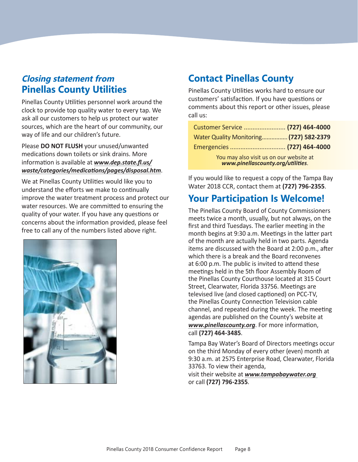## **Closing statement from Pinellas County Utilities**

Pinellas County Utilities personnel work around the clock to provide top quality water to every tap. We ask all our customers to help us protect our water sources, which are the heart of our community, our way of life and our children's future.

Please **DO NOT FLUSH** your unused/unwanted medications down toilets or sink drains. More information is available at *[www.dep.state.fl.us/](www.dep.state.fl.us/waste/categories/medications/pages/disposal.htm) [waste/categories/medications/pages/disposal.htm](www.dep.state.fl.us/waste/categories/medications/pages/disposal.htm)*.

We at Pinellas County Utilities would like you to understand the efforts we make to continually improve the water treatment process and protect our water resources. We are committed to ensuring the quality of your water. If you have any questions or concerns about the information provided, please feel free to call any of the numbers listed above right.



# **Contact Pinellas County**

Pinellas County Utilities works hard to ensure our customers' satisfaction. If you have questions or comments about this report or other issues, please call us:

| Customer Service  (727) 464-4000                                             |  |
|------------------------------------------------------------------------------|--|
| Water Quality Monitoring (727) 582-2379                                      |  |
|                                                                              |  |
| You may also visit us on our website at<br>www.pinellascounty.org/utilities. |  |

If you would like to request a copy of the Tampa Bay Water 2018 CCR, contact them at **(727) 796-2355**.

# **Your Participation Is Welcome!**

The Pinellas County Board of County Commissioners meets twice a month, usually, but not always, on the first and third Tuesdays. The earlier meeting in the month begins at 9:30 a.m. Meetings in the latter part of the month are actually held in two parts. Agenda items are discussed with the Board at 2:00 p.m., after which there is a break and the Board reconvenes at 6:00 p.m. The public is invited to attend these meetings held in the 5th floor Assembly Room of the Pinellas County Courthouse located at 315 Court Street, Clearwater, Florida 33756. Meetings are televised live (and closed captioned) on PCC-TV, the Pinellas County Connection Television cable channel, and repeated during the week. The meeting agendas are published on the County's website at *www.pinellascounty.org*. For more information, call **(727) 464-3485**.

Tampa Bay Water's Board of Directors meetings occur on the third Monday of every other (even) month at 9:30 a.m. at 2575 Enterprise Road, Clearwater, Florida 33763. To view their agenda,

visit their website at *www.tampabaywater.org*  or call **(727) 796-2355**.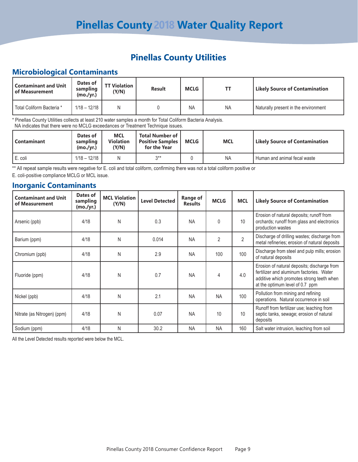## **Pinellas County Utilities**

#### **Microbiological Contaminants**

| <b>Contaminant and Unit</b><br>l of Measurement | Dates of<br>sampling<br>(mo./yr.) | <b>TT Violation</b><br>(Y/N) | <b>Result</b> | <b>MCLG</b> | ΤT        | <b>Likely Source of Contamination</b> |
|-------------------------------------------------|-----------------------------------|------------------------------|---------------|-------------|-----------|---------------------------------------|
| l Total Coliform Bacteria *                     | $1/18 - 12/18$                    | Ν                            |               | <b>NA</b>   | <b>NA</b> | Naturally present in the environment  |

\* Pinellas County Utilities collects at least 210 water samples a month for Total Coliform Bacteria Analysis. NA indicates that there were no MCLG exceedances or Treatment Technique issues.

| <b>Contaminant</b> | Dates of<br>sampling<br>(mo./yr.) | <b>MCL</b><br><b>Violation</b><br>(Y/N) | , Total Number of '<br><b>Positive Samples</b><br>for the Year | <b>MCLG</b> | MCL       | <b>Likely Source of Contamination</b> |
|--------------------|-----------------------------------|-----------------------------------------|----------------------------------------------------------------|-------------|-----------|---------------------------------------|
| I E. coli          | $1/18 - 12/18$                    | N                                       | $2**$                                                          |             | <b>NA</b> | Human and animal fecal waste          |

\*\* All repeat sample results were negative for E. coli and total coliform, confirming there was not a total coliform positive or E. coli-positive compliance MCLG or MCL issue.

#### **Inorganic Contaminants**

| <b>Contaminant and Unit</b><br>of Measurement | Dates of<br>sampling<br>(mo./yr.) | <b>MCL Violation</b><br>(Y/N) | <b>Level Detected</b> | Range of<br><b>Results</b> | <b>MCLG</b>    | <b>MCL</b>     | <b>Likely Source of Contamination</b>                                                                                                                                   |
|-----------------------------------------------|-----------------------------------|-------------------------------|-----------------------|----------------------------|----------------|----------------|-------------------------------------------------------------------------------------------------------------------------------------------------------------------------|
| Arsenic (ppb)                                 | 4/18                              | N                             | 0.3                   | <b>NA</b>                  | 0              | 10             | Erosion of natural deposits; runoff from<br>orchards; runoff from glass and electronics<br>production wastes                                                            |
| Barium (ppm)                                  | 4/18                              | N                             | 0.014                 | <b>NA</b>                  | $\overline{2}$ | $\overline{2}$ | Discharge of drilling wastes; discharge from<br>metal refineries; erosion of natural deposits                                                                           |
| Chromium (ppb)                                | 4/18                              | N                             | 2.9                   | <b>NA</b>                  | 100            | 100            | Discharge from steel and pulp mills; erosion<br>of natural deposits                                                                                                     |
| Fluoride (ppm)                                | 4/18                              | N                             | 0.7                   | <b>NA</b>                  | 4              | 4.0            | Erosion of natural deposits; discharge from<br>fertilizer and aluminum factories. Water<br>additive which promotes strong teeth when<br>at the optimum level of 0.7 ppm |
| Nickel (ppb)                                  | 4/18                              | N                             | 2.1                   | <b>NA</b>                  | <b>NA</b>      | 100            | Pollution from mining and refining<br>operations. Natural occurrence in soil                                                                                            |
| Nitrate (as Nitrogen) (ppm)                   | 4/18                              | N                             | 0.07                  | <b>NA</b>                  | 10             | 10             | Runoff from fertilizer use; leaching from<br>septic tanks, sewage; erosion of natural<br>deposits                                                                       |
| Sodium (ppm)                                  | 4/18                              | N                             | 30.2                  | <b>NA</b>                  | <b>NA</b>      | 160            | Salt water intrusion, leaching from soil                                                                                                                                |

All the Level Detected results reported were below the MCL.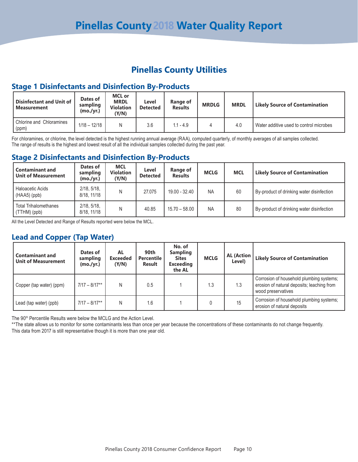### **Pinellas County Utilities**

#### **Stage 1 Disinfectants and Disinfection By-Products**

| Disinfectant and Unit of<br><b>Measurement</b> | Dates of<br>sampling<br>(mo./yr.) | <b>MCL</b> or<br><b>MRDL</b><br><b>Violation</b><br>(Y/N) | Level<br><b>Detected</b> | Range of<br><b>Results</b> | <b>MRDLG</b> | <b>MRDL</b> | <b>Likely Source of Contamination</b>   |
|------------------------------------------------|-----------------------------------|-----------------------------------------------------------|--------------------------|----------------------------|--------------|-------------|-----------------------------------------|
| Chlorine and Chloramines<br>(ppm)              | $1/18 - 12/18$                    | Ν                                                         | 3.6                      | $.1 - 4.9$                 |              | 4.0         | Water additive used to control microbes |

For chloramines, or chlorine, the level detected is the highest running annual average (RAA), computed quarterly, of monthly averages of all samples collected. The range of results is the highest and lowest result of all the individual samples collected during the past year.

#### **Stage 2 Disinfectants and Disinfection By-Products**

| <b>Contaminant and</b><br><b>Unit of Measurement</b> | Dates of<br>sampling<br>(mo./yr.) | <b>MCL</b><br><b>Violation</b><br>(Y/N) | Level<br><b>Detected</b> | Range of<br><b>Results</b> | <b>MCLG</b> | <b>MCL</b> | <b>Likely Source of Contamination</b>     |
|------------------------------------------------------|-----------------------------------|-----------------------------------------|--------------------------|----------------------------|-------------|------------|-------------------------------------------|
| Haloacetic Acids<br>$(HAA5)$ (ppb)                   | 2/18, 5/18,<br>8/18, 11/18        | N                                       | 27.075                   | 19.00 - 32.40              | <b>NA</b>   | 60         | By-product of drinking water disinfection |
| <b>Total Trihalomethanes</b><br>(TTHM) (ppb)         | 2/18, 5/18,<br>8/18, 11/18        | N                                       | 40.85                    | $15.70 - 58.00$            | <b>NA</b>   | 80         | By-product of drinking water disinfection |

All the Level Detected and Range of Results reported were below the MCL.

#### **Lead and Copper (Tap Water)**

| <b>Contaminant and</b><br><b>Unit of Measurement</b> | Dates of<br>sampling<br>(mo./yr.) | AL<br><b>Exceeded</b><br>(Y/N) | 90th<br><b>Percentile</b><br><b>Result</b> | No. of<br><b>Sampling</b><br><b>Sites</b><br><b>Exceeding</b><br>the AL | <b>MCLG</b> | <b>AL (Action</b><br>Level) | <b>Likely Source of Contamination</b>                                                                        |
|------------------------------------------------------|-----------------------------------|--------------------------------|--------------------------------------------|-------------------------------------------------------------------------|-------------|-----------------------------|--------------------------------------------------------------------------------------------------------------|
| Copper (tap water) (ppm)                             | $7/17 - 8/17**$                   | N                              | 0.5                                        |                                                                         | 1.3         | 1.3                         | Corrosion of household plumbing systems;<br>erosion of natural deposits; leaching from<br>wood preservatives |
| Lead (tap water) (ppb)                               | $7/17 - 8/17**$                   | N                              | 1.6                                        |                                                                         |             | 15                          | Corrosion of household plumbing systems;<br>erosion of natural deposits                                      |

The 90<sup>th</sup> Percentile Results were below the MCLG and the Action Level.

\*\* The state allows us to monitor for some contaminants less than once per year because the concentrations of these contaminants do not change frequently. This data from 2017 is still representative though it is more than one year old.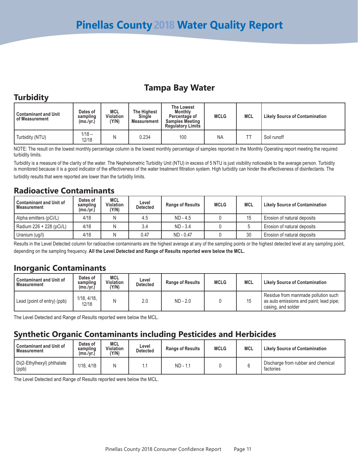## **Tampa Bay Water**

### **Turbidity**

| <b>Contaminant and Unit</b><br>of Measurement | Dates of<br>sampling<br>(mo./yr.) | <b>MCL</b><br>Violation<br>'Y/N) | <b>The Highest</b><br>Single<br><b>Measurement</b> | <b>The Lowest</b><br><b>Monthly</b><br>Percentage of<br><b>Samples Meeting</b><br><b>Regulatory Limits</b> | <b>MCLG</b> | <b>MCL</b> | <b>Likely Source of Contamination</b> |
|-----------------------------------------------|-----------------------------------|----------------------------------|----------------------------------------------------|------------------------------------------------------------------------------------------------------------|-------------|------------|---------------------------------------|
| Turbidity (NTU)                               | $1/18 -$<br>12/18                 |                                  | 0.234                                              | 100                                                                                                        | <b>NA</b>   |            | Soil runoff                           |

NOTE: The result on the lowest monthly percentage column is the lowest monthly percentage of samples reported in the Monthly Operating report meeting the required turbidity limits.

Turbidity is a measure of the clarity of the water. The Nephelometric Turbidity Unit (NTU) in excess of 5 NTU is just visibility noticeable to the average person. Turbidity is monitored because it is a good indicator of the effectiveness of the water treatment filtration system. High turbidity can hinder the effectiveness of disinfectants. The turbidity results that were reported are lower than the turbidity limits.

#### **Radioactive Contaminants**

| <b>Contaminant and Unit of</b><br>Measurement | Dates of<br>sampling<br>(mo./yr.) | <b>MCL</b><br><b>Violation</b><br>(Y/N) | Level<br>Detected | <b>Range of Results</b> | <b>MCLG</b> | <b>MCL</b>     | <b>Likely Source of Contamination</b> |
|-----------------------------------------------|-----------------------------------|-----------------------------------------|-------------------|-------------------------|-------------|----------------|---------------------------------------|
| Alpha emitters (pCi/L)                        | 4/18                              |                                         | 4.5               | $ND - 4.5$              |             | $\overline{A}$ | Erosion of natural deposits           |
| Radium 226 + 228 (pCi/L)                      | 4/18                              |                                         | 3.4               | $ND - 3.4$              |             |                | Erosion of natural deposits           |
| Uranium (ug/l)                                | 4/18                              |                                         | 0.47              | ND - 0.47               |             | 30             | Erosion of natural deposits           |

Results in the Level Detected column for radioactive contaminants are the highest average at any of the sampling points or the highest detected level at any sampling point, depending on the sampling frequency. **All the Level Detected and Range of Results reported were below the MCL.**

### **Inorganic Contaminants**

| <b>Contaminant and Unit of</b><br>Measurement | Dates of<br>sampling<br>(mo./vr.) | <b>MCL</b><br><b>Violation</b><br>Y/N) | Level<br>Detected | <b>Range of Results</b> | <b>MCLG</b> | <b>MCL</b> | <b>Likely Source of Contamination</b>                                                                |
|-----------------------------------------------|-----------------------------------|----------------------------------------|-------------------|-------------------------|-------------|------------|------------------------------------------------------------------------------------------------------|
| Lead (point of entry) (ppb)                   | 1/18.4/18.<br>12/18               |                                        | 2.0               | $ND - 2.0$              |             |            | Residue from manmade pollution such<br>as auto emissions and paint; lead pipe;<br>casing, and solder |

The Level Detected and Range of Results reported were below the MCL.

### **Synthetic Organic Contaminants including Pesticides and Herbicides**

| <b>Contaminant and Unit of</b><br><b>Measurement</b> | Dates of<br>sampling<br>(mo./yr.) | MCL<br>Violation<br>(Y/N) | Level<br>Detected | <b>Range of Results</b> | <b>MCLG</b> | <b>MCL</b> | <b>Likely Source of Contamination</b>           |
|------------------------------------------------------|-----------------------------------|---------------------------|-------------------|-------------------------|-------------|------------|-------------------------------------------------|
| Di(2-Ethylhexyl) phthalate<br>(ppb)                  | 1/18, 4/18                        | N                         |                   | ND - 1.1                |             |            | Discharge from rubber and chemical<br>factories |

The Level Detected and Range of Results reported were below the MCL.